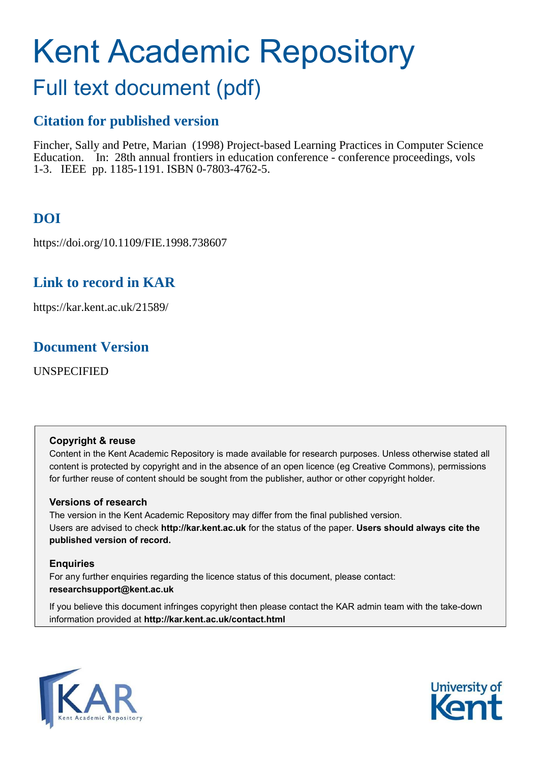# Kent Academic Repository

## Full text document (pdf)

## **Citation for published version**

Fincher, Sally and Petre, Marian (1998) Project-based Learning Practices in Computer Science Education. In: 28th annual frontiers in education conference - conference proceedings, vols 1-3. IEEE pp. 1185-1191. ISBN 0-7803-4762-5.

## **DOI**

https://doi.org/10.1109/FIE.1998.738607

## **Link to record in KAR**

https://kar.kent.ac.uk/21589/

## **Document Version**

UNSPECIFIED

#### **Copyright & reuse**

Content in the Kent Academic Repository is made available for research purposes. Unless otherwise stated all content is protected by copyright and in the absence of an open licence (eg Creative Commons), permissions for further reuse of content should be sought from the publisher, author or other copyright holder.

#### **Versions of research**

The version in the Kent Academic Repository may differ from the final published version. Users are advised to check **http://kar.kent.ac.uk** for the status of the paper. **Users should always cite the published version of record.**

#### **Enquiries**

For any further enquiries regarding the licence status of this document, please contact: **researchsupport@kent.ac.uk**

If you believe this document infringes copyright then please contact the KAR admin team with the take-down information provided at **http://kar.kent.ac.uk/contact.html**



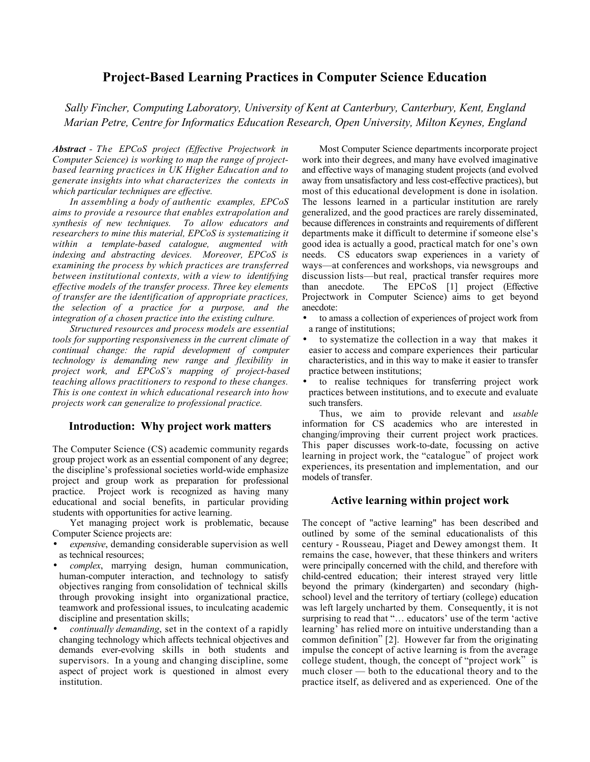#### **Project-Based Learning Practices in Computer Science Education**

*Sally Fincher, Computing Laboratory, University of Kent at Canterbury, Canterbury, Kent, England Marian Petre, Centre for Informatics Education Research, Open University, Milton Keynes, England*

*Abstract - The EPCoS project (Effective Projectwork in Computer Science) is working to map the range of projectbased learning practices in UK Higher Education and to generate insights into what characterizes the contexts in which particular techniques are effective.*

*In assembling a body of authentic examples, EPCoS aims to provide a resource that enables extrapolation and synthesis of new techniques. To allow educators and researchers to mine this material, EPCoS is systematizing it within a template-based catalogue, augmented with indexing and abstracting devices. Moreover, EPCoS is examining the process by which practices are transferred between institutional contexts, with a view to identifying effective models of the transfer process. Three key elements of transfer are the identification of appropriate practices, the selection of a practice for a purpose, and the integration of a chosen practice into the existing culture.*

*Structured resources and process models are essential tools for supporting responsiveness in the current climate of continual change: the rapid development of computer technology is demanding new range and flexibility in project work, and EPCoS's mapping of project-based teaching allows practitioners to respond to these changes. This is one context in which educational research into how projects work can generalize to professional practice.*

#### **Introduction: Why project work matters**

The Computer Science (CS) academic community regards group project work as an essential component of any degree; the discipline's professional societies world-wide emphasize project and group work as preparation for professional practice. Project work is recognized as having many educational and social benefits, in particular providing students with opportunities for active learning.

Yet managing project work is problematic, because Computer Science projects are:

- *expensive*, demanding considerable supervision as well as technical resources;
- *complex*, marrying design, human communication, human-computer interaction, and technology to satisfy objectives ranging from consolidation of technical skills through provoking insight into organizational practice, teamwork and professional issues, to inculcating academic discipline and presentation skills;
- *continually demanding*, set in the context of a rapidly changing technology which affects technical objectives and demands ever-evolving skills in both students and supervisors. In a young and changing discipline, some aspect of project work is questioned in almost every institution.

Most Computer Science departments incorporate project work into their degrees, and many have evolved imaginative and effective ways of managing student projects (and evolved away from unsatisfactory and less cost-effective practices), but most of this educational development is done in isolation. The lessons learned in a particular institution are rarely generalized, and the good practices are rarely disseminated, because differences in constraints and requirements of different departments make it difficult to determine if someone else's good idea is actually a good, practical match for one's own needs. CS educators swap experiences in a variety of ways—at conferences and workshops, via newsgroups and discussion lists—but real, practical transfer requires more than anecdote. The EPCoS [1] project (Effective Projectwork in Computer Science) aims to get beyond anecdote:

- to amass a collection of experiences of project work from a range of institutions;
- to systematize the collection in a way that makes it easier to access and compare experiences their particular characteristics, and in this way to make it easier to transfer practice between institutions;
- to realise techniques for transferring project work practices between institutions, and to execute and evaluate such transfers.

Thus, we aim to provide relevant and *usable* information for CS academics who are interested in changing/improving their current project work practices. This paper discusses work-to-date, focussing on active learning in project work, the "catalogue" of project work experiences, its presentation and implementation, and our models of transfer.

#### **Active learning within project work**

The concept of "active learning" has been described and outlined by some of the seminal educationalists of this century - Rousseau, Piaget and Dewey amongst them. It remains the case, however, that these thinkers and writers were principally concerned with the child, and therefore with child-centred education; their interest strayed very little beyond the primary (kindergarten) and secondary (highschool) level and the territory of tertiary (college) education was left largely uncharted by them. Consequently, it is not surprising to read that "… educators' use of the term 'active learning' has relied more on intuitive understanding than a common definition" [2]. However far from the originating impulse the concept of active learning is from the average college student, though, the concept of "project work" is much closer — both to the educational theory and to the practice itself, as delivered and as experienced. One of the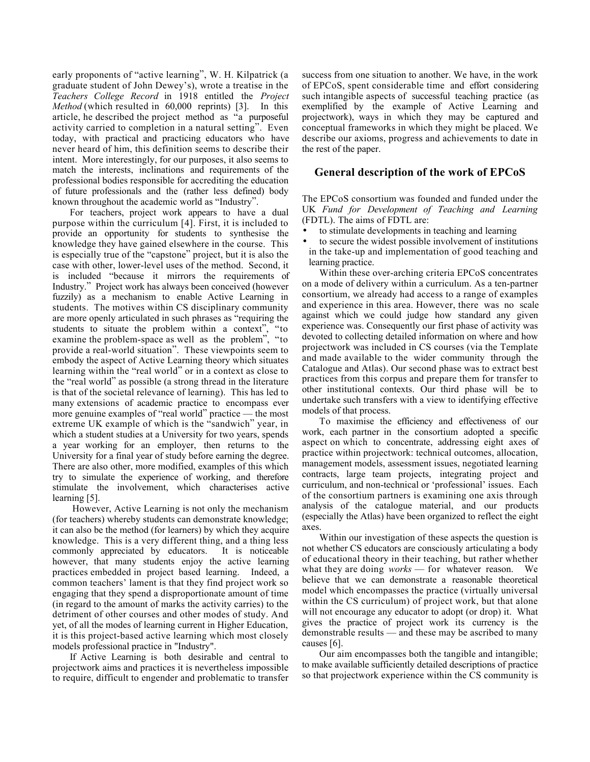early proponents of "active learning", W. H. Kilpatrick (a graduate student of John Dewey's), wrote a treatise in the *Teachers College Record* in 1918 entitled the *Project Method* (which resulted in 60,000 reprints) [3]. In this article, he described the project method as "a purposeful activity carried to completion in a natural setting". Even today, with practical and practicing educators who have never heard of him, this definition seems to describe their intent. More interestingly, for our purposes, it also seems to match the interests, inclinations and requirements of the professional bodies responsible for accrediting the education of future professionals and the (rather less defined) body known throughout the academic world as "Industry".

For teachers, project work appears to have a dual purpose within the curriculum [4]. First, it is included to provide an opportunity for students to synthesise the knowledge they have gained elsewhere in the course. This is especially true of the "capstone" project, but it is also the case with other, lower-level uses of the method. Second, it is included "because it mirrors the requirements of Industry." Project work has always been conceived (however fuzzily) as a mechanism to enable Active Learning in students. The motives within CS disciplinary community are more openly articulated in such phrases as "requiring the students to situate the problem within a context", "to examine the problem-space as well as the problem", "to provide a real-world situation". These viewpoints seem to embody the aspect of Active Learning theory which situates learning within the "real world" or in a context as close to the "real world" as possible (a strong thread in the literature is that of the societal relevance of learning). This has led to many extensions of academic practice to encompass ever more genuine examples of "real world" practice — the most extreme UK example of which is the "sandwich" year, in which a student studies at a University for two years, spends a year working for an employer, then returns to the University for a final year of study before earning the degree. There are also other, more modified, examples of this which try to simulate the experience of working, and therefore stimulate the involvement, which characterises active learning [5].

 However, Active Learning is not only the mechanism (for teachers) whereby students can demonstrate knowledge; it can also be the method (for learners) by which they acquire knowledge. This is a very different thing, and a thing less commonly appreciated by educators. It is noticeable however, that many students enjoy the active learning practices embedded in project based learning. Indeed, a common teachers' lament is that they find project work so engaging that they spend a disproportionate amount of time (in regard to the amount of marks the activity carries) to the detriment of other courses and other modes of study. And yet, of all the modes of learning current in Higher Education, it is this project-based active learning which most closely models professional practice in "Industry".

If Active Learning is both desirable and central to projectwork aims and practices it is nevertheless impossible to require, difficult to engender and problematic to transfer success from one situation to another. We have, in the work of EPCoS, spent considerable time and effort considering such intangible aspects of successful teaching practice (as exemplified by the example of Active Learning and projectwork), ways in which they may be captured and conceptual frameworks in which they might be placed. We describe our axioms, progress and achievements to date in the rest of the paper.

#### **General description of the work of EPCoS**

The EPCoS consortium was founded and funded under the UK *Fund for Development of Teaching and Learning* (FDTL). The aims of FDTL are:

- to stimulate developments in teaching and learning
- to secure the widest possible involvement of institutions in the take-up and implementation of good teaching and learning practice.

Within these over-arching criteria EPCoS concentrates on a mode of delivery within a curriculum. As a ten-partner consortium, we already had access to a range of examples and experience in this area. However, there was no scale against which we could judge how standard any given experience was. Consequently our first phase of activity was devoted to collecting detailed information on where and how projectwork was included in CS courses (via the Template and made available to the wider community through the Catalogue and Atlas). Our second phase was to extract best practices from this corpus and prepare them for transfer to other institutional contexts. Our third phase will be to undertake such transfers with a view to identifying effective models of that process.

To maximise the efficiency and effectiveness of our work, each partner in the consortium adopted a specific aspect on which to concentrate, addressing eight axes of practice within projectwork: technical outcomes, allocation, management models, assessment issues, negotiated learning contracts, large team projects, integrating project and curriculum, and non-technical or 'professional' issues. Each of the consortium partners is examining one axis through analysis of the catalogue material, and our products (especially the Atlas) have been organized to reflect the eight axes.

Within our investigation of these aspects the question is not whether CS educators are consciously articulating a body of educational theory in their teaching, but rather whether what they are doing *works* — for whatever reason. We believe that we can demonstrate a reasonable theoretical model which encompasses the practice (virtually universal within the CS curriculum) of project work, but that alone will not encourage any educator to adopt (or drop) it. What gives the practice of project work its currency is the demonstrable results — and these may be ascribed to many causes [6].

Our aim encompasses both the tangible and intangible; to make available sufficiently detailed descriptions of practice so that projectwork experience within the CS community is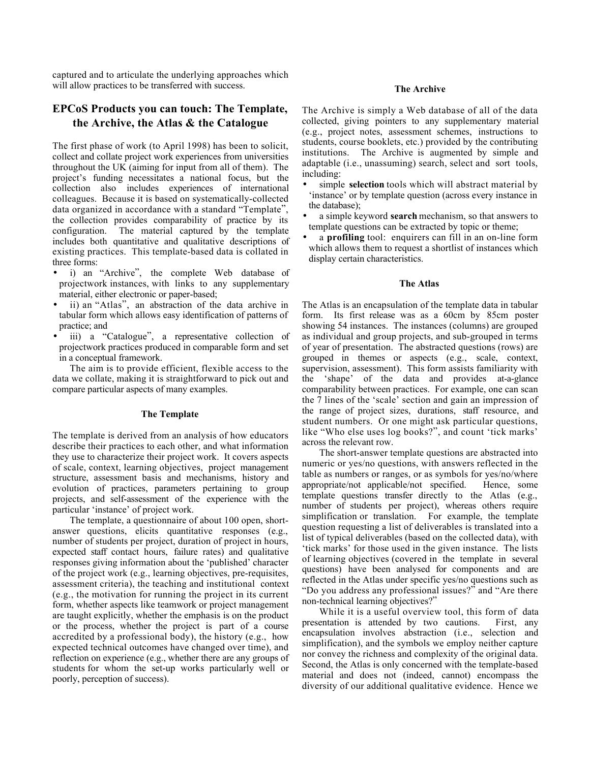captured and to articulate the underlying approaches which will allow practices to be transferred with success.

#### **EPCoS Products you can touch: The Template, the Archive, the Atlas & the Catalogue**

The first phase of work (to April 1998) has been to solicit, collect and collate project work experiences from universities throughout the UK (aiming for input from all of them). The project's funding necessitates a national focus, but the collection also includes experiences of international colleagues. Because it is based on systematically-collected data organized in accordance with a standard "Template", the collection provides comparability of practice by its configuration. The material captured by the template includes both quantitative and qualitative descriptions of existing practices. This template-based data is collated in three forms:

- i) an "Archive", the complete Web database of projectwork instances, with links to any supplementary material, either electronic or paper-based;
- ii) an "Atlas", an abstraction of the data archive in tabular form which allows easy identification of patterns of practice; and
- iii) a "Catalogue", a representative collection of projectwork practices produced in comparable form and set in a conceptual framework.

The aim is to provide efficient, flexible access to the data we collate, making it is straightforward to pick out and compare particular aspects of many examples.

#### **The Template**

The template is derived from an analysis of how educators describe their practices to each other, and what information they use to characterize their project work. It covers aspects of scale, context, learning objectives, project management structure, assessment basis and mechanisms, history and evolution of practices, parameters pertaining to group projects, and self-assessment of the experience with the particular 'instance' of project work.

The template, a questionnaire of about 100 open, shortanswer questions, elicits quantitative responses (e.g., number of students per project, duration of project in hours, expected staff contact hours, failure rates) and qualitative responses giving information about the 'published' character of the project work (e.g., learning objectives, pre-requisites, assessment criteria), the teaching and institutional context (e.g., the motivation for running the project in its current form, whether aspects like teamwork or project management are taught explicitly, whether the emphasis is on the product or the process, whether the project is part of a course accredited by a professional body), the history (e.g., how expected technical outcomes have changed over time), and reflection on experience (e.g., whether there are any groups of students for whom the set-up works particularly well or poorly, perception of success).

#### **The Archive**

The Archive is simply a Web database of all of the data collected, giving pointers to any supplementary material (e.g., project notes, assessment schemes, instructions to students, course booklets, etc.) provided by the contributing institutions. The Archive is augmented by simple and adaptable (i.e., unassuming) search, select and sort tools, including:

- simple **selection** tools which will abstract material by 'instance' or by template question (across every instance in the database);
- a simple keyword **search** mechanism, so that answers to template questions can be extracted by topic or theme;
- a **profiling** tool: enquirers can fill in an on-line form which allows them to request a shortlist of instances which display certain characteristics.

#### **The Atlas**

The Atlas is an encapsulation of the template data in tabular form. Its first release was as a 60cm by 85cm poster showing 54 instances. The instances (columns) are grouped as individual and group projects, and sub-grouped in terms of year of presentation. The abstracted questions (rows) are grouped in themes or aspects (e.g., scale, context, supervision, assessment). This form assists familiarity with the 'shape' of the data and provides at-a-glance comparability between practices. For example, one can scan the 7 lines of the 'scale' section and gain an impression of the range of project sizes, durations, staff resource, and student numbers. Or one might ask particular questions, like "Who else uses log books?", and count 'tick marks' across the relevant row.

The short-answer template questions are abstracted into numeric or yes/no questions, with answers reflected in the table as numbers or ranges, or as symbols for yes/no/where appropriate/not applicable/not specified. Hence, some template questions transfer directly to the Atlas (e.g., number of students per project), whereas others require simplification or translation. For example, the template question requesting a list of deliverables is translated into a list of typical deliverables (based on the collected data), with 'tick marks' for those used in the given instance. The lists of learning objectives (covered in the template in several questions) have been analysed for components and are reflected in the Atlas under specific yes/no questions such as "Do you address any professional issues?" and "Are there non-technical learning objectives?"

While it is a useful overview tool, this form of data presentation is attended by two cautions. First, any encapsulation involves abstraction (i.e., selection and simplification), and the symbols we employ neither capture nor convey the richness and complexity of the original data. Second, the Atlas is only concerned with the template-based material and does not (indeed, cannot) encompass the diversity of our additional qualitative evidence. Hence we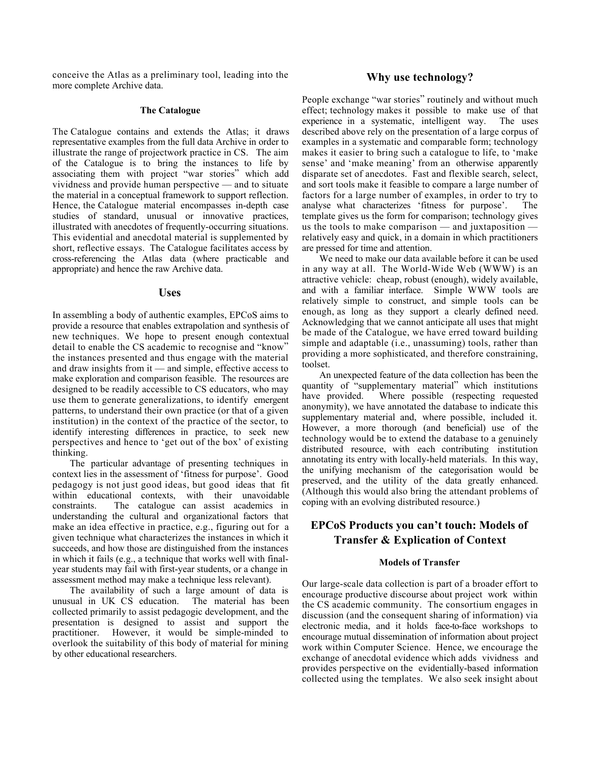conceive the Atlas as a preliminary tool, leading into the more complete Archive data.

#### **The Catalogue**

The Catalogue contains and extends the Atlas; it draws representative examples from the full data Archive in order to illustrate the range of projectwork practice in CS. The aim of the Catalogue is to bring the instances to life by associating them with project "war stories" which add vividness and provide human perspective — and to situate the material in a conceptual framework to support reflection. Hence, the Catalogue material encompasses in-depth case studies of standard, unusual or innovative practices, illustrated with anecdotes of frequently-occurring situations. This evidential and anecdotal material is supplemented by short, reflective essays. The Catalogue facilitates access by cross-referencing the Atlas data (where practicable and appropriate) and hence the raw Archive data.

#### **Uses**

In assembling a body of authentic examples, EPCoS aims to provide a resource that enables extrapolation and synthesis of new techniques. We hope to present enough contextual detail to enable the CS academic to recognise and "know" the instances presented and thus engage with the material and draw insights from it — and simple, effective access to make exploration and comparison feasible. The resources are designed to be readily accessible to CS educators, who may use them to generate generalizations, to identify emergent patterns, to understand their own practice (or that of a given institution) in the context of the practice of the sector, to identify interesting differences in practice, to seek new perspectives and hence to 'get out of the box' of existing thinking.

The particular advantage of presenting techniques in context lies in the assessment of 'fitness for purpose'. Good pedagogy is not just good ideas, but good ideas that fit within educational contexts, with their unavoidable constraints. The catalogue can assist academics in understanding the cultural and organizational factors that make an idea effective in practice, e.g., figuring out for a given technique what characterizes the instances in which it succeeds, and how those are distinguished from the instances in which it fails (e.g., a technique that works well with finalyear students may fail with first-year students, or a change in assessment method may make a technique less relevant).

The availability of such a large amount of data is unusual in UK CS education. The material has been collected primarily to assist pedagogic development, and the presentation is designed to assist and support the practitioner. However, it would be simple-minded to overlook the suitability of this body of material for mining by other educational researchers.

#### **Why use technology?**

People exchange "war stories" routinely and without much effect; technology makes it possible to make use of that experience in a systematic, intelligent way. The uses described above rely on the presentation of a large corpus of examples in a systematic and comparable form; technology makes it easier to bring such a catalogue to life, to 'make sense' and 'make meaning' from an otherwise apparently disparate set of anecdotes. Fast and flexible search, select, and sort tools make it feasible to compare a large number of factors for a large number of examples, in order to try to analyse what characterizes 'fitness for purpose'. The template gives us the form for comparison; technology gives us the tools to make comparison — and juxtaposition relatively easy and quick, in a domain in which practitioners are pressed for time and attention.

We need to make our data available before it can be used in any way at all. The World-Wide Web (WWW) is an attractive vehicle: cheap, robust (enough), widely available, and with a familiar interface. Simple WWW tools are relatively simple to construct, and simple tools can be enough, as long as they support a clearly defined need. Acknowledging that we cannot anticipate all uses that might be made of the Catalogue, we have erred toward building simple and adaptable  $(i.e.,$  unassuming) tools, rather than providing a more sophisticated, and therefore constraining, toolset.

An unexpected feature of the data collection has been the quantity of "supplementary material" which institutions have provided. Where possible (respecting requested anonymity), we have annotated the database to indicate this supplementary material and, where possible, included it. However, a more thorough (and beneficial) use of the technology would be to extend the database to a genuinely distributed resource, with each contributing institution annotating its entry with locally-held materials. In this way, the unifying mechanism of the categorisation would be preserved, and the utility of the data greatly enhanced. (Although this would also bring the attendant problems of coping with an evolving distributed resource.)

#### **EPCoS Products you can't touch: Models of Transfer & Explication of Context**

#### **Models of Transfer**

Our large-scale data collection is part of a broader effort to encourage productive discourse about project work within the CS academic community. The consortium engages in discussion (and the consequent sharing of information) via electronic media, and it holds face-to-face workshops to encourage mutual dissemination of information about project work within Computer Science. Hence, we encourage the exchange of anecdotal evidence which adds vividness and provides perspective on the evidentially-based information collected using the templates. We also seek insight about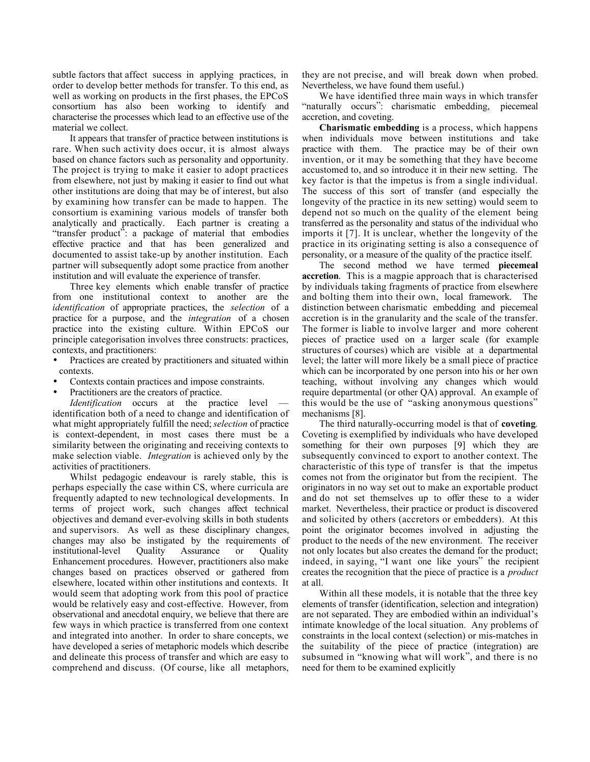subtle factors that affect success in applying practices, in order to develop better methods for transfer. To this end, as well as working on products in the first phases, the EPCoS consortium has also been working to identify and characterise the processes which lead to an effective use of the material we collect.

It appears that transfer of practice between institutions is rare. When such activity does occur, it is almost always based on chance factors such as personality and opportunity. The project is trying to make it easier to adopt practices from elsewhere, not just by making it easier to find out what other institutions are doing that may be of interest, but also by examining how transfer can be made to happen. The consortium is examining various models of transfer both analytically and practically. Each partner is creating a "transfer product": a package of material that embodies effective practice and that has been generalized and documented to assist take-up by another institution. Each partner will subsequently adopt some practice from another institution and will evaluate the experience of transfer.

Three key elements which enable transfer of practice from one institutional context to another are the *identification* of appropriate practices, the *selection* of a practice for a purpose, and the *integration* of a chosen practice into the existing culture. Within EPCoS our principle categorisation involves three constructs: practices, contexts, and practitioners:

- Practices are created by practitioners and situated within contexts.
- Contexts contain practices and impose constraints.
- Practitioners are the creators of practice.

*Identification* occurs at the practice level identification both of a need to change and identification of what might appropriately fulfill the need; *selection* of practice is context-dependent, in most cases there must be a similarity between the originating and receiving contexts to make selection viable. *Integration* is achieved only by the activities of practitioners.

Whilst pedagogic endeavour is rarely stable, this is perhaps especially the case within CS, where curricula are frequently adapted to new technological developments. In terms of project work, such changes affect technical objectives and demand ever-evolving skills in both students and supervisors. As well as these disciplinary changes, changes may also be instigated by the requirements of institutional-level Quality Assurance or Quality Enhancement procedures. However, practitioners also make changes based on practices observed or gathered from elsewhere, located within other institutions and contexts. It would seem that adopting work from this pool of practice would be relatively easy and cost-effective. However, from observational and anecdotal enquiry, we believe that there are few ways in which practice is transferred from one context and integrated into another. In order to share concepts, we have developed a series of metaphoric models which describe and delineate this process of transfer and which are easy to comprehend and discuss. (Of course, like all metaphors,

they are not precise, and will break down when probed. Nevertheless, we have found them useful.)

We have identified three main ways in which transfer "naturally occurs": charismatic embedding, piecemeal accretion, and coveting.

**Charismatic embedding** is a process, which happens when individuals move between institutions and take practice with them. The practice may be of their own invention, or it may be something that they have become accustomed to, and so introduce it in their new setting. The key factor is that the impetus is from a single individual. The success of this sort of transfer (and especially the longevity of the practice in its new setting) would seem to depend not so much on the quality of the element being transferred as the personality and status of the individual who imports it [7]. It is unclear, whether the longevity of the practice in its originating setting is also a consequence of personality, or a measure of the quality of the practice itself.

The second method we have termed **piecemeal accretion**. This is a magpie approach that is characterised by individuals taking fragments of practice from elsewhere and bolting them into their own, local framework. The distinction between charismatic embedding and piecemeal accretion is in the granularity and the scale of the transfer. The former is liable to involve larger and more coherent pieces of practice used on a larger scale (for example structures of courses) which are visible at a departmental level; the latter will more likely be a small piece of practice which can be incorporated by one person into his or her own teaching, without involving any changes which would require departmental (or other QA) approval. An example of this would be the use of "asking anonymous questions" mechanisms [8].

The third naturally-occurring model is that of **coveting**. Coveting is exemplified by individuals who have developed something for their own purposes [9] which they are subsequently convinced to export to another context. The characteristic of this type of transfer is that the impetus comes not from the originator but from the recipient. The originators in no way set out to make an exportable product and do not set themselves up to offer these to a wider market. Nevertheless, their practice or product is discovered and solicited by others (accretors or embedders). At this point the originator becomes involved in adjusting the product to the needs of the new environment. The receiver not only locates but also creates the demand for the product; indeed, in saying, "I want one like yours" the recipient creates the recognition that the piece of practice is a *product* at all.

Within all these models, it is notable that the three key elements of transfer (identification, selection and integration) are not separated. They are embodied within an individual's intimate knowledge of the local situation. Any problems of constraints in the local context (selection) or mis-matches in the suitability of the piece of practice (integration) are subsumed in "knowing what will work", and there is no need for them to be examined explicitly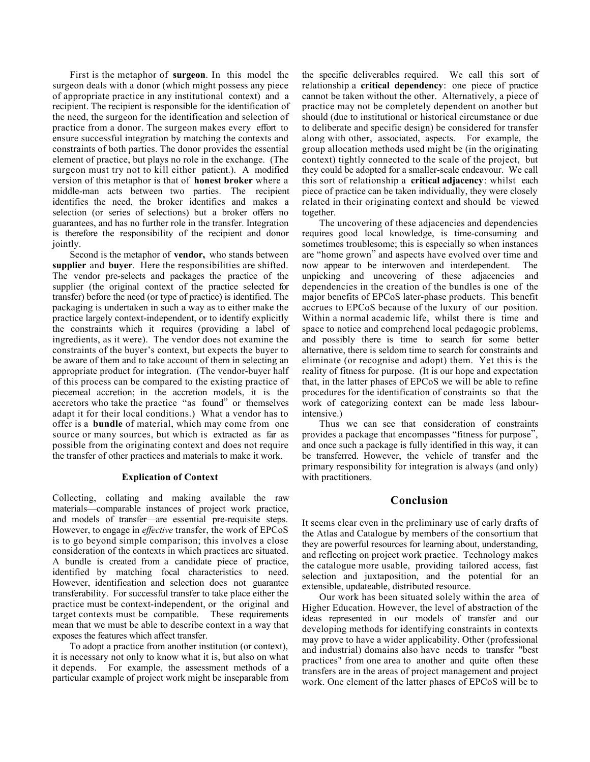First is the metaphor of **surgeon**. In this model the surgeon deals with a donor (which might possess any piece of appropriate practice in any institutional context) and a recipient. The recipient is responsible for the identification of the need, the surgeon for the identification and selection of practice from a donor. The surgeon makes every effort to ensure successful integration by matching the contexts and constraints of both parties. The donor provides the essential element of practice, but plays no role in the exchange. (The surgeon must try not to kill either patient.). A modified version of this metaphor is that of **honest broker** where a middle-man acts between two parties. The recipient identifies the need, the broker identifies and makes a selection (or series of selections) but a broker offers no guarantees, and has no further role in the transfer. Integration is therefore the responsibility of the recipient and donor jointly.

Second is the metaphor of **vendor,** who stands between **supplier** and **buyer**. Here the responsibilities are shifted. The vendor pre-selects and packages the practice of the supplier (the original context of the practice selected for transfer) before the need (or type of practice) is identified. The packaging is undertaken in such a way as to either make the practice largely context-independent, or to identify explicitly the constraints which it requires (providing a label of ingredients, as it were). The vendor does not examine the constraints of the buyer's context, but expects the buyer to be aware of them and to take account of them in selecting an appropriate product for integration. (The vendor-buyer half of this process can be compared to the existing practice of piecemeal accretion; in the accretion models, it is the accretors who take the practice "as found" or themselves adapt it for their local conditions.) What a vendor has to offer is a **bundle** of material, which may come from one source or many sources, but which is extracted as far as possible from the originating context and does not require the transfer of other practices and materials to make it work.

#### **Explication of Context**

Collecting, collating and making available the raw materials—comparable instances of project work practice, and models of transfer—are essential pre-requisite steps. However, to engage in *effective* transfer, the work of EPCoS is to go beyond simple comparison; this involves a close consideration of the contexts in which practices are situated. A bundle is created from a candidate piece of practice, identified by matching focal characteristics to need. However, identification and selection does not guarantee transferability. For successful transfer to take place either the practice must be context-independent, or the original and target contexts must be compatible. These requirements mean that we must be able to describe context in a way that exposes the features which affect transfer.

To adopt a practice from another institution (or context), it is necessary not only to know what it is, but also on what it depends. For example, the assessment methods of a particular example of project work might be inseparable from

the specific deliverables required. We call this sort of relationship a **critical dependency**: one piece of practice cannot be taken without the other. Alternatively, a piece of practice may not be completely dependent on another but should (due to institutional or historical circumstance or due to deliberate and specific design) be considered for transfer along with other, associated, aspects. For example, the group allocation methods used might be (in the originating context) tightly connected to the scale of the project, but they could be adopted for a smaller-scale endeavour. We call this sort of relationship a **critical adjacency**: whilst each piece of practice can be taken individually, they were closely related in their originating context and should be viewed together.

The uncovering of these adjacencies and dependencies requires good local knowledge, is time-consuming and sometimes troublesome; this is especially so when instances are "home grown" and aspects have evolved over time and now appear to be interwoven and interdependent. The unpicking and uncovering of these adjacencies and dependencies in the creation of the bundles is one of the major benefits of EPCoS later-phase products. This benefit accrues to EPCoS because of the luxury of our position. Within a normal academic life, whilst there is time and space to notice and comprehend local pedagogic problems, and possibly there is time to search for some better alternative, there is seldom time to search for constraints and eliminate (or recognise and adopt) them. Yet this is the reality of fitness for purpose. (It is our hope and expectation that, in the latter phases of EPCoS we will be able to refine procedures for the identification of constraints so that the work of categorizing context can be made less labourintensive.)

Thus we can see that consideration of constraints provides a package that encompasses "fitness for purpose", and once such a package is fully identified in this way, it can be transferred. However, the vehicle of transfer and the primary responsibility for integration is always (and only) with practitioners.

#### **Conclusion**

It seems clear even in the preliminary use of early drafts of the Atlas and Catalogue by members of the consortium that they are powerful resources for learning about, understanding, and reflecting on project work practice. Technology makes the catalogue more usable, providing tailored access, fast selection and juxtaposition, and the potential for an extensible, updateable, distributed resource.

Our work has been situated solely within the area of Higher Education. However, the level of abstraction of the ideas represented in our models of transfer and our developing methods for identifying constraints in contexts may prove to have a wider applicability. Other (professional and industrial) domains also have needs to transfer "best practices" from one area to another and quite often these transfers are in the areas of project management and project work. One element of the latter phases of EPCoS will be to